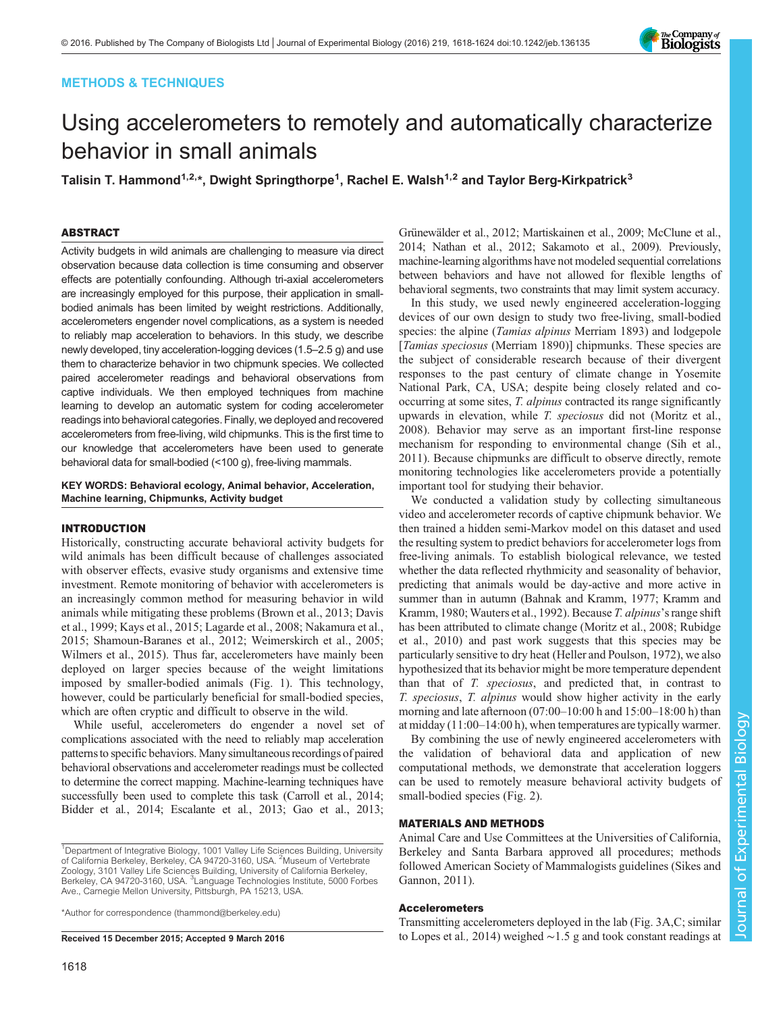# METHODS & TECHNIQUES



# Using accelerometers to remotely and automatically characterize behavior in small animals

Talisin T. Hammond<sup>1,2,\*</sup>, Dwight Springthorpe<sup>1</sup>, Rachel E. Walsh<sup>1,2</sup> and Taylor Berg-Kirkpatrick<sup>3</sup>

# ABSTRACT

Activity budgets in wild animals are challenging to measure via direct observation because data collection is time consuming and observer effects are potentially confounding. Although tri-axial accelerometers are increasingly employed for this purpose, their application in smallbodied animals has been limited by weight restrictions. Additionally, accelerometers engender novel complications, as a system is needed to reliably map acceleration to behaviors. In this study, we describe newly developed, tiny acceleration-logging devices (1.5–2.5 g) and use them to characterize behavior in two chipmunk species. We collected paired accelerometer readings and behavioral observations from captive individuals. We then employed techniques from machine learning to develop an automatic system for coding accelerometer readings into behavioral categories. Finally, we deployed and recovered accelerometers from free-living, wild chipmunks. This is the first time to our knowledge that accelerometers have been used to generate behavioral data for small-bodied (<100 g), free-living mammals.

KEY WORDS: Behavioral ecology, Animal behavior, Acceleration, Machine learning, Chipmunks, Activity budget

# INTRODUCTION

Historically, constructing accurate behavioral activity budgets for wild animals has been difficult because of challenges associated with observer effects, evasive study organisms and extensive time investment. Remote monitoring of behavior with accelerometers is an increasingly common method for measuring behavior in wild animals while mitigating these problems [\(Brown et al., 2013](#page-5-0); [Davis](#page-5-0) [et al., 1999](#page-5-0); [Kays et al., 2015; Lagarde et al., 2008](#page-5-0); [Nakamura et al.,](#page-5-0) [2015](#page-5-0); [Shamoun-Baranes et al., 2012](#page-5-0); [Weimerskirch et al., 2005](#page-6-0); [Wilmers et al., 2015\)](#page-6-0). Thus far, accelerometers have mainly been deployed on larger species because of the weight limitations imposed by smaller-bodied animals ([Fig. 1](#page-1-0)). This technology, however, could be particularly beneficial for small-bodied species, which are often cryptic and difficult to observe in the wild.

While useful, accelerometers do engender a novel set of complications associated with the need to reliably map acceleration patternsto specific behaviors. Many simultaneous recordings of paired behavioral observations and accelerometer readings must be collected to determine the correct mapping. Machine-learning techniques have successfully been used to complete this task [\(Carroll et al](#page-5-0)., 2014; [Bidder et al](#page-5-0)., 2014; [Escalante et al](#page-5-0)., 2013; [Gao et al., 2013](#page-5-0);

\*Author for correspondence [\(thammond@berkeley.edu](mailto:thammond@berkeley.edu))

[Grünewälder et al., 2012; Martiskainen et al., 2009](#page-5-0); [McClune et al.,](#page-5-0) [2014; Nathan et al., 2012](#page-5-0); [Sakamoto et al., 2009\)](#page-5-0). Previously, machine-learning algorithms have not modeled sequential correlations between behaviors and have not allowed for flexible lengths of behavioral segments, two constraints that may limit system accuracy.

In this study, we used newly engineered acceleration-logging devices of our own design to study two free-living, small-bodied species: the alpine (Tamias alpinus Merriam 1893) and lodgepole [*Tamias speciosus* (Merriam 1890)] chipmunks. These species are the subject of considerable research because of their divergent responses to the past century of climate change in Yosemite National Park, CA, USA; despite being closely related and cooccurring at some sites, T. alpinus contracted its range significantly upwards in elevation, while T. speciosus did not [\(Moritz et al.,](#page-5-0) [2008\)](#page-5-0). Behavior may serve as an important first-line response mechanism for responding to environmental change ([Sih et al.,](#page-5-0) [2011\)](#page-5-0). Because chipmunks are difficult to observe directly, remote monitoring technologies like accelerometers provide a potentially important tool for studying their behavior.

We conducted a validation study by collecting simultaneous video and accelerometer records of captive chipmunk behavior. We then trained a hidden semi-Markov model on this dataset and used the resulting system to predict behaviors for accelerometer logs from free-living animals. To establish biological relevance, we tested whether the data reflected rhythmicity and seasonality of behavior, predicting that animals would be day-active and more active in summer than in autumn [\(Bahnak and Kramm, 1977; Kramm and](#page-5-0) [Kramm, 1980](#page-5-0); [Wauters et al., 1992](#page-5-0)). Because T. alpinus's range shift has been attributed to climate change ([Moritz et al., 2008; Rubidge](#page-5-0) [et al., 2010\)](#page-5-0) and past work suggests that this species may be particularly sensitive to dry heat [\(Heller and Poulson, 1972](#page-5-0)), we also hypothesized that its behavior might be more temperature dependent than that of T. speciosus, and predicted that, in contrast to T. speciosus, T. alpinus would show higher activity in the early morning and late afternoon (07:00–10:00 h and 15:00–18:00 h) than at midday (11:00–14:00 h), when temperatures are typically warmer.

By combining the use of newly engineered accelerometers with the validation of behavioral data and application of new computational methods, we demonstrate that acceleration loggers can be used to remotely measure behavioral activity budgets of small-bodied species ([Fig. 2](#page-2-0)).

# MATERIALS AND METHODS

Animal Care and Use Committees at the Universities of California, Berkeley and Santa Barbara approved all procedures; methods followed American Society of Mammalogists guidelines [\(Sikes and](#page-5-0) [Gannon, 2011](#page-5-0)).

# Accelerometers

Transmitting accelerometers deployed in the lab [\(Fig. 3A](#page-2-0),C; similar Received 15 December 2015; Accepted 9 March 2016 to [Lopes et al](#page-5-0)., 2014) weighed ∼1.5 g and took constant readings at

<sup>&</sup>lt;sup>1</sup>Department of Integrative Biology, 1001 Valley Life Sciences Building, University of California Berkeley, Berkeley, CA 94720-3160, USA. <sup>2</sup>Museum of Vertebrate Zoology, 3101 Valley Life Sciences Building, University of California Berkeley, Berkeley, CA 94720-3160, USA. <sup>3</sup>Language Technologies Institute, 5000 Forbes Ave., Carnegie Mellon University, Pittsburgh, PA 15213, USA.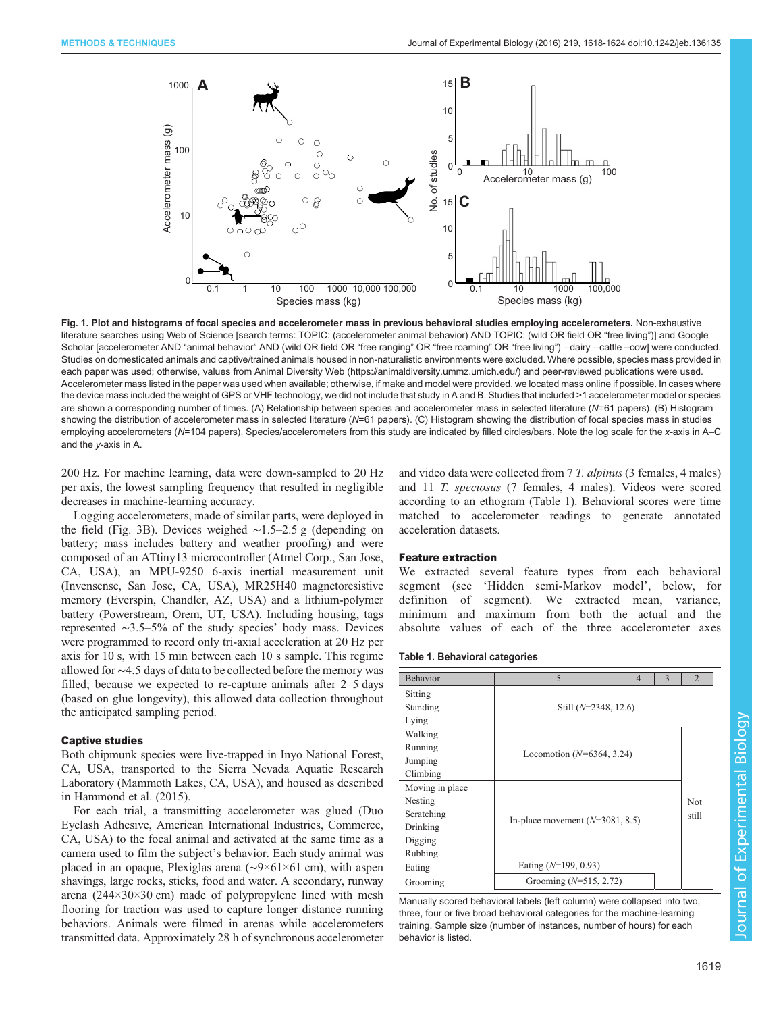<span id="page-1-0"></span>

Fig. 1. Plot and histograms of focal species and accelerometer mass in previous behavioral studies employing accelerometers. Non-exhaustive literature searches using Web of Science [search terms: TOPIC: (accelerometer animal behavior) AND TOPIC: (wild OR field OR "free living")] and Google Scholar [accelerometer AND "animal behavior" AND (wild OR field OR "free ranging" OR "free roaming" OR "free living") −dairy −cattle −cow] were conducted. Studies on domesticated animals and captive/trained animals housed in non-naturalistic environments were excluded. Where possible, species mass provided in each paper was used; otherwise, values from Animal Diversity Web [\(https://animaldiversity.ummz.umich.edu/](https://animaldiversity.ummz.umich.edu/)) and peer-reviewed publications were used. Accelerometer mass listed in the paper was used when available; otherwise, if make and model were provided, we located mass online if possible. In cases where the device mass included the weight of GPS or VHF technology, we did not include that study in A and B. Studies that included >1 accelerometer model or species are shown a corresponding number of times. (A) Relationship between species and accelerometer mass in selected literature (N=61 papers). (B) Histogram showing the distribution of accelerometer mass in selected literature (N=61 papers). (C) Histogram showing the distribution of focal species mass in studies employing accelerometers (N=104 papers). Species/accelerometers from this study are indicated by filled circles/bars. Note the log scale for the x-axis in A–C and the y-axis in A.

200 Hz. For machine learning, data were down-sampled to 20 Hz per axis, the lowest sampling frequency that resulted in negligible decreases in machine-learning accuracy.

Logging accelerometers, made of similar parts, were deployed in the field ([Fig. 3B](#page-2-0)). Devices weighed ∼1.5–2.5 g (depending on battery; mass includes battery and weather proofing) and were composed of an ATtiny13 microcontroller (Atmel Corp., San Jose, CA, USA), an MPU-9250 6-axis inertial measurement unit (Invensense, San Jose, CA, USA), MR25H40 magnetoresistive memory (Everspin, Chandler, AZ, USA) and a lithium-polymer battery (Powerstream, Orem, UT, USA). Including housing, tags represented ∼3.5–5% of the study species' body mass. Devices were programmed to record only tri-axial acceleration at 20 Hz per axis for 10 s, with 15 min between each 10 s sample. This regime allowed for ∼4.5 days of data to be collected before the memory was filled; because we expected to re-capture animals after 2–5 days (based on glue longevity), this allowed data collection throughout the anticipated sampling period.

## Captive studies

Both chipmunk species were live-trapped in Inyo National Forest, CA, USA, transported to the Sierra Nevada Aquatic Research Laboratory (Mammoth Lakes, CA, USA), and housed as described in [Hammond et al. \(2015\).](#page-5-0)

For each trial, a transmitting accelerometer was glued (Duo Eyelash Adhesive, American International Industries, Commerce, CA, USA) to the focal animal and activated at the same time as a camera used to film the subject's behavior. Each study animal was placed in an opaque, Plexiglas arena (∼9×61×61 cm), with aspen shavings, large rocks, sticks, food and water. A secondary, runway arena (244×30×30 cm) made of polypropylene lined with mesh flooring for traction was used to capture longer distance running behaviors. Animals were filmed in arenas while accelerometers transmitted data. Approximately 28 h of synchronous accelerometer and video data were collected from 7 T. alpinus (3 females, 4 males) and 11 T. speciosus (7 females, 4 males). Videos were scored according to an ethogram (Table 1). Behavioral scores were time matched to accelerometer readings to generate annotated acceleration datasets.

### Feature extraction

We extracted several feature types from each behavioral segment (see 'Hidden semi-Markov model', below, for definition of segment). We extracted mean, variance, minimum and maximum from both the actual and the absolute values of each of the three accelerometer axes

|  |  |  | Table 1. Behavioral categories |  |
|--|--|--|--------------------------------|--|
|  |  |  |                                |  |
|  |  |  |                                |  |
|  |  |  |                                |  |

| Behavior        | 5                                 | $\overline{4}$ | 3     | $\overline{2}$ |
|-----------------|-----------------------------------|----------------|-------|----------------|
| Sitting         |                                   |                |       |                |
| Standing        | Still $(N=2348, 12.6)$            |                |       |                |
| Lying           |                                   |                |       |                |
| Walking         |                                   |                |       |                |
| Running         | Locomotion $(N=6364, 3.24)$       |                |       |                |
| Jumping         |                                   |                |       |                |
| Climbing        |                                   |                |       |                |
| Moving in place |                                   |                |       |                |
| Nesting         |                                   |                | Not   |                |
| Scratching      | In-place movement $(N=3081, 8.5)$ |                | still |                |
| Drinking        |                                   |                |       |                |
| Digging         |                                   |                |       |                |
| Rubbing         |                                   |                |       |                |
| Eating          | Eating $(N=199, 0.93)$            |                |       |                |
| Grooming        | Grooming $(N=515, 2.72)$          |                |       |                |

Manually scored behavioral labels (left column) were collapsed into two, three, four or five broad behavioral categories for the machine-learning training. Sample size (number of instances, number of hours) for each behavior is listed.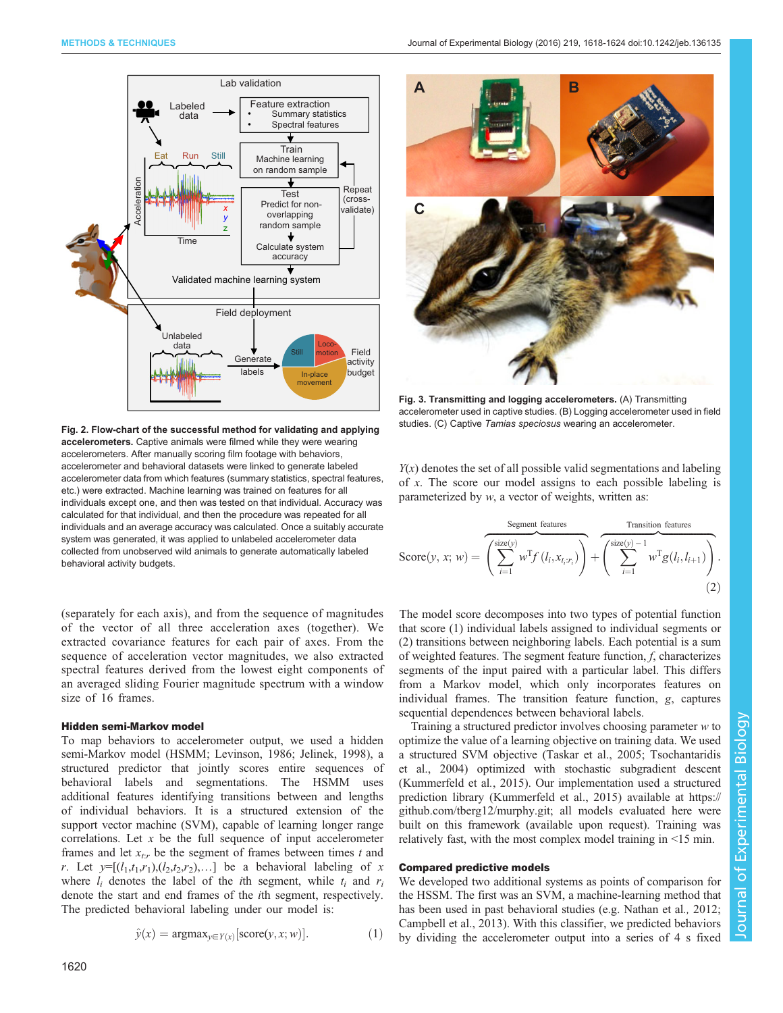<span id="page-2-0"></span>

Fig. 2. Flow-chart of the successful method for validating and applying accelerometers. Captive animals were filmed while they were wearing accelerometers. After manually scoring film footage with behaviors, accelerometer and behavioral datasets were linked to generate labeled accelerometer data from which features (summary statistics, spectral features, etc.) were extracted. Machine learning was trained on features for all individuals except one, and then was tested on that individual. Accuracy was calculated for that individual, and then the procedure was repeated for all individuals and an average accuracy was calculated. Once a suitably accurate system was generated, it was applied to unlabeled accelerometer data collected from unobserved wild animals to generate automatically labeled behavioral activity budgets.

(separately for each axis), and from the sequence of magnitudes of the vector of all three acceleration axes (together). We extracted covariance features for each pair of axes. From the sequence of acceleration vector magnitudes, we also extracted spectral features derived from the lowest eight components of an averaged sliding Fourier magnitude spectrum with a window size of 16 frames.

#### Hidden semi-Markov model

To map behaviors to accelerometer output, we used a hidden semi-Markov model (HSMM; [Levinson, 1986](#page-5-0); [Jelinek, 1998\)](#page-5-0), a structured predictor that jointly scores entire sequences of behavioral labels and segmentations. The HSMM uses additional features identifying transitions between and lengths of individual behaviors. It is a structured extension of the support vector machine (SVM), capable of learning longer range correlations. Let  $x$  be the full sequence of input accelerometer frames and let  $x_{tr}$  be the segment of frames between times t and r. Let  $y=[(l_1,t_1,r_1),(l_2,t_2,r_2),...]$  be a behavioral labeling of x where  $l_i$  denotes the label of the *i*th segment, while  $t_i$  and  $r_i$ denote the start and end frames of the ith segment, respectively. The predicted behavioral labeling under our model is:

$$
\hat{y}(x) = \operatorname{argmax}_{y \in Y(x)}[\operatorname{score}(y, x; w)]. \tag{1}
$$



Fig. 3. Transmitting and logging accelerometers. (A) Transmitting accelerometer used in captive studies. (B) Logging accelerometer used in field studies. (C) Captive Tamias speciosus wearing an accelerometer.

 $Y(x)$  denotes the set of all possible valid segmentations and labeling of x. The score our model assigns to each possible labeling is parameterized by w, a vector of weights, written as:

$$
Score(y, x; w) = \overbrace{\left(\sum_{i=1}^{size(y)} w^{T} f(l_{i}, x_{t_{i}:r_{i}})\right)}^{Segment features} + \overbrace{\left(\sum_{i=1}^{size(y)-1} w^{T} g(l_{i}, l_{i+1})\right)}^{Transition features}.
$$
\n(2)

The model score decomposes into two types of potential function that score (1) individual labels assigned to individual segments or (2) transitions between neighboring labels. Each potential is a sum of weighted features. The segment feature function, f, characterizes segments of the input paired with a particular label. This differs from a Markov model, which only incorporates features on individual frames. The transition feature function, g, captures sequential dependences between behavioral labels.

Training a structured predictor involves choosing parameter  $w$  to optimize the value of a learning objective on training data. We used a structured SVM objective [\(Taskar et al., 2005; Tsochantaridis](#page-5-0) [et al., 2004](#page-5-0)) optimized with stochastic subgradient descent [\(Kummerfeld et al](#page-5-0)., 2015). Our implementation used a structured prediction library ([Kummerfeld et al., 2015](#page-5-0)) available at [https://](https://github.com/tberg12/murphy.git) [github.com/tberg12/murphy.git](https://github.com/tberg12/murphy.git); all models evaluated here were built on this framework (available upon request). Training was relatively fast, with the most complex model training in <15 min.

## Compared predictive models

We developed two additional systems as points of comparison for the HSSM. The first was an SVM, a machine-learning method that has been used in past behavioral studies (e.g. [Nathan et al](#page-5-0)., 2012; [Campbell et al., 2013](#page-5-0)). With this classifier, we predicted behaviors by dividing the accelerometer output into a series of 4 s fixed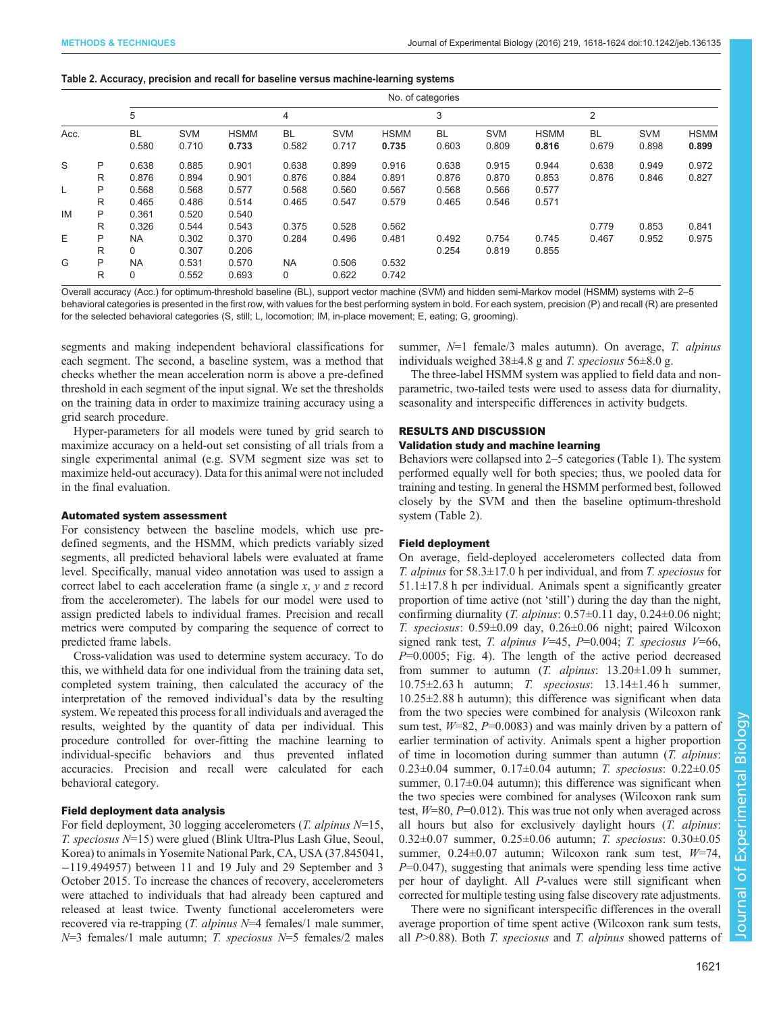#### Table 2. Accuracy, precision and recall for baseline versus machine-learning systems

|      |   | No. of categories |            |             |             |            |             |           |            |             |                |            |             |
|------|---|-------------------|------------|-------------|-------------|------------|-------------|-----------|------------|-------------|----------------|------------|-------------|
|      |   | 5                 |            |             | 4           |            |             | 3         |            |             | $\overline{2}$ |            |             |
| Acc. |   | <b>BL</b>         | <b>SVM</b> | <b>HSMM</b> | <b>BL</b>   | <b>SVM</b> | <b>HSMM</b> | <b>BL</b> | <b>SVM</b> | <b>HSMM</b> | <b>BL</b>      | <b>SVM</b> | <b>HSMM</b> |
|      |   | 0.580             | 0.710      | 0.733       | 0.582       | 0.717      | 0.735       | 0.603     | 0.809      | 0.816       | 0.679          | 0.898      | 0.899       |
| S    | P | 0.638             | 0.885      | 0.901       | 0.638       | 0.899      | 0.916       | 0.638     | 0.915      | 0.944       | 0.638          | 0.949      | 0.972       |
|      | R | 0.876             | 0.894      | 0.901       | 0.876       | 0.884      | 0.891       | 0.876     | 0.870      | 0.853       | 0.876          | 0.846      | 0.827       |
| L    | P | 0.568             | 0.568      | 0.577       | 0.568       | 0.560      | 0.567       | 0.568     | 0.566      | 0.577       |                |            |             |
|      | R | 0.465             | 0.486      | 0.514       | 0.465       | 0.547      | 0.579       | 0.465     | 0.546      | 0.571       |                |            |             |
| IM   | P | 0.361             | 0.520      | 0.540       |             |            |             |           |            |             |                |            |             |
|      | R | 0.326             | 0.544      | 0.543       | 0.375       | 0.528      | 0.562       |           |            |             | 0.779          | 0.853      | 0.841       |
| E    | P | <b>NA</b>         | 0.302      | 0.370       | 0.284       | 0.496      | 0.481       | 0.492     | 0.754      | 0.745       | 0.467          | 0.952      | 0.975       |
|      | R | 0                 | 0.307      | 0.206       |             |            |             | 0.254     | 0.819      | 0.855       |                |            |             |
| G    | P | <b>NA</b>         | 0.531      | 0.570       | <b>NA</b>   | 0.506      | 0.532       |           |            |             |                |            |             |
|      | R | 0                 | 0.552      | 0.693       | $\mathbf 0$ | 0.622      | 0.742       |           |            |             |                |            |             |

Overall accuracy (Acc.) for optimum-threshold baseline (BL), support vector machine (SVM) and hidden semi-Markov model (HSMM) systems with 2–5

behavioral categories is presented in the first row, with values for the best performing system in bold. For each system, precision (P) and recall (R) are presented for the selected behavioral categories (S, still; L, locomotion; IM, in-place movement; E, eating; G, grooming).

segments and making independent behavioral classifications for each segment. The second, a baseline system, was a method that checks whether the mean acceleration norm is above a pre-defined threshold in each segment of the input signal. We set the thresholds on the training data in order to maximize training accuracy using a grid search procedure.

Hyper-parameters for all models were tuned by grid search to maximize accuracy on a held-out set consisting of all trials from a single experimental animal (e.g. SVM segment size was set to maximize held-out accuracy). Data for this animal were not included in the final evaluation.

## Automated system assessment

For consistency between the baseline models, which use predefined segments, and the HSMM, which predicts variably sized segments, all predicted behavioral labels were evaluated at frame level. Specifically, manual video annotation was used to assign a correct label to each acceleration frame (a single  $x$ ,  $y$  and  $z$  record from the accelerometer). The labels for our model were used to assign predicted labels to individual frames. Precision and recall metrics were computed by comparing the sequence of correct to predicted frame labels.

Cross-validation was used to determine system accuracy. To do this, we withheld data for one individual from the training data set, completed system training, then calculated the accuracy of the interpretation of the removed individual's data by the resulting system. We repeated this process for all individuals and averaged the results, weighted by the quantity of data per individual. This procedure controlled for over-fitting the machine learning to individual-specific behaviors and thus prevented inflated accuracies. Precision and recall were calculated for each behavioral category.

# Field deployment data analysis

For field deployment, 30 logging accelerometers  $(T.$  alpinus  $N=15$ , T. speciosus N=15) were glued (Blink Ultra-Plus Lash Glue, Seoul, Korea) to animals in Yosemite National Park, CA, USA (37.845041, −119.494957) between 11 and 19 July and 29 September and 3 October 2015. To increase the chances of recovery, accelerometers were attached to individuals that had already been captured and released at least twice. Twenty functional accelerometers were recovered via re-trapping (T. alpinus N=4 females/1 male summer,  $N=3$  females/1 male autumn; *T. speciosus*  $N=5$  females/2 males

summer,  $N=1$  female/3 males autumn). On average, T. alpinus individuals weighed  $38\pm4.8$  g and T. speciosus  $56\pm8.0$  g.

The three-label HSMM system was applied to field data and nonparametric, two-tailed tests were used to assess data for diurnality, seasonality and interspecific differences in activity budgets.

## RESULTS AND DISCUSSION

# Validation study and machine learning

Behaviors were collapsed into 2–5 categories [\(Table 1](#page-1-0)). The system performed equally well for both species; thus, we pooled data for training and testing. In general the HSMM performed best, followed closely by the SVM and then the baseline optimum-threshold system (Table 2).

## Field deployment

On average, field-deployed accelerometers collected data from T. alpinus for  $58.3 \pm 17.0$  h per individual, and from T. speciosus for  $51.1 \pm 17.8$  h per individual. Animals spent a significantly greater proportion of time active (not 'still') during the day than the night, confirming diurnality (*T. alpinus*:  $0.57\pm0.11$  day,  $0.24\pm0.06$  night; T. speciosus: 0.59±0.09 day, 0.26±0.06 night; paired Wilcoxon signed rank test, T. alpinus  $V=45$ ,  $P=0.004$ ; T. speciosus  $V=66$ ,  $P=0.0005$ ; [Fig. 4\)](#page-4-0). The length of the active period decreased from summer to autumn (*T. alpinus*:  $13.20 \pm 1.09$  h summer, 10.75 $\pm$ 2.63 h autumn; *T. speciosus*: 13.14 $\pm$ 1.46 h summer, 10.25±2.88 h autumn); this difference was significant when data from the two species were combined for analysis (Wilcoxon rank sum test,  $W=82$ ,  $P=0.0083$ ) and was mainly driven by a pattern of earlier termination of activity. Animals spent a higher proportion of time in locomotion during summer than autumn (T. alpinus: 0.23±0.04 summer, 0.17±0.04 autumn; T. speciosus: 0.22±0.05 summer,  $0.17\pm0.04$  autumn); this difference was significant when the two species were combined for analyses (Wilcoxon rank sum test,  $W=80$ ,  $P=0.012$ ). This was true not only when averaged across all hours but also for exclusively daylight hours  $(T.$  alpinus: 0.32±0.07 summer, 0.25±0.06 autumn; T. speciosus: 0.30±0.05 summer,  $0.24 \pm 0.07$  autumn; Wilcoxon rank sum test,  $W=74$ ,  $P=0.047$ , suggesting that animals were spending less time active per hour of daylight. All P-values were still significant when corrected for multiple testing using false discovery rate adjustments.

There were no significant interspecific differences in the overall average proportion of time spent active (Wilcoxon rank sum tests, all  $P>0.88$ ). Both T. speciosus and T. alpinus showed patterns of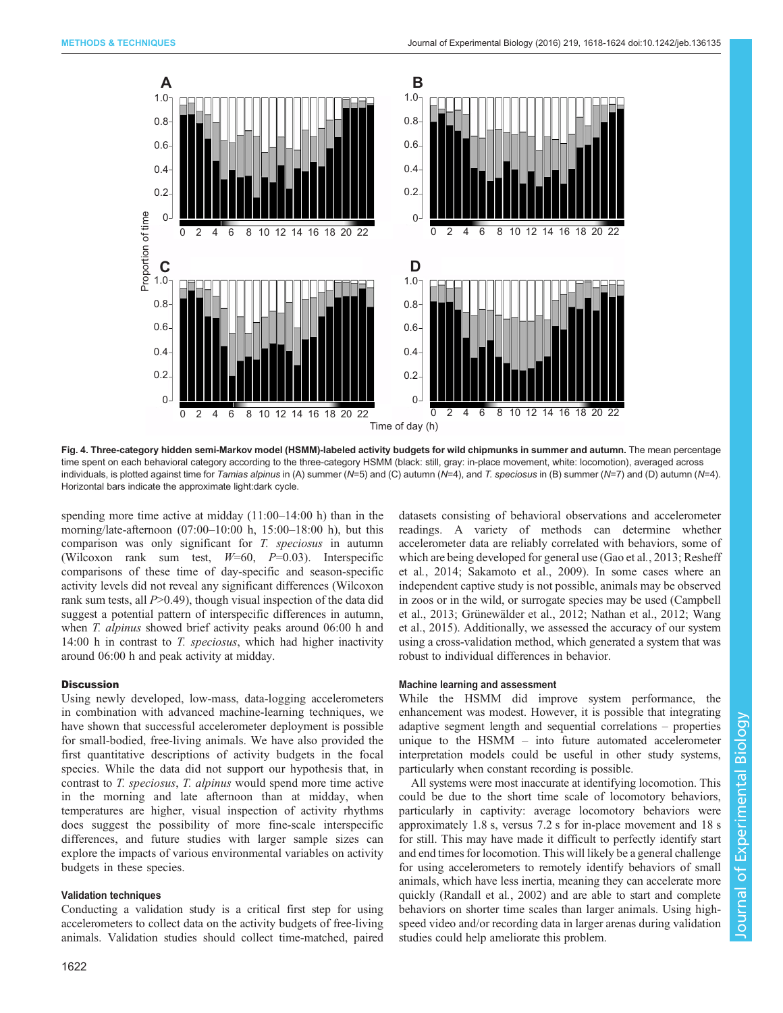<span id="page-4-0"></span>

Fig. 4. Three-category hidden semi-Markov model (HSMM)-labeled activity budgets for wild chipmunks in summer and autumn. The mean percentage time spent on each behavioral category according to the three-category HSMM (black: still, gray: in-place movement, white: locomotion), averaged across individuals, is plotted against time for Tamias alpinus in (A) summer (N=5) and (C) autumn (N=4), and T. speciosus in (B) summer (N=7) and (D) autumn (N=4). Horizontal bars indicate the approximate light:dark cycle.

spending more time active at midday  $(11:00-14:00)$  h) than in the morning/late-afternoon (07:00–10:00 h, 15:00–18:00 h), but this comparison was only significant for T. speciosus in autumn (Wilcoxon rank sum test,  $W=60$ ,  $P=0.03$ ). Interspecific comparisons of these time of day-specific and season-specific activity levels did not reveal any significant differences (Wilcoxon rank sum tests, all  $P > 0.49$ ), though visual inspection of the data did suggest a potential pattern of interspecific differences in autumn, when *T. alpinus* showed brief activity peaks around 06:00 h and 14:00 h in contrast to *T. speciosus*, which had higher inactivity around 06:00 h and peak activity at midday.

## **Discussion**

Using newly developed, low-mass, data-logging accelerometers in combination with advanced machine-learning techniques, we have shown that successful accelerometer deployment is possible for small-bodied, free-living animals. We have also provided the first quantitative descriptions of activity budgets in the focal species. While the data did not support our hypothesis that, in contrast to T. speciosus, T. alpinus would spend more time active in the morning and late afternoon than at midday, when temperatures are higher, visual inspection of activity rhythms does suggest the possibility of more fine-scale interspecific differences, and future studies with larger sample sizes can explore the impacts of various environmental variables on activity budgets in these species.

## Validation techniques

Conducting a validation study is a critical first step for using accelerometers to collect data on the activity budgets of free-living animals. Validation studies should collect time-matched, paired

1622

datasets consisting of behavioral observations and accelerometer readings. A variety of methods can determine whether accelerometer data are reliably correlated with behaviors, some of which are being developed for general use [\(Gao et al](#page-5-0)., 2013; [Resheff](#page-5-0) et al.[, 2014; Sakamoto et al., 2009](#page-5-0)). In some cases where an independent captive study is not possible, animals may be observed in zoos or in the wild, or surrogate species may be used [\(Campbell](#page-5-0) [et al., 2013; Grünewälder et al., 2012; Nathan et al., 2012](#page-5-0); [Wang](#page-5-0) [et al., 2015\)](#page-5-0). Additionally, we assessed the accuracy of our system using a cross-validation method, which generated a system that was robust to individual differences in behavior.

## Machine learning and assessment

While the HSMM did improve system performance, the enhancement was modest. However, it is possible that integrating adaptive segment length and sequential correlations – properties unique to the HSMM – into future automated accelerometer interpretation models could be useful in other study systems, particularly when constant recording is possible.

All systems were most inaccurate at identifying locomotion. This could be due to the short time scale of locomotory behaviors, particularly in captivity: average locomotory behaviors were approximately 1.8 s, versus 7.2 s for in-place movement and 18 s for still. This may have made it difficult to perfectly identify start and end times for locomotion. This will likely be a general challenge for using accelerometers to remotely identify behaviors of small animals, which have less inertia, meaning they can accelerate more quickly ([Randall et al](#page-5-0)., 2002) and are able to start and complete behaviors on shorter time scales than larger animals. Using highspeed video and/or recording data in larger arenas during validation studies could help ameliorate this problem.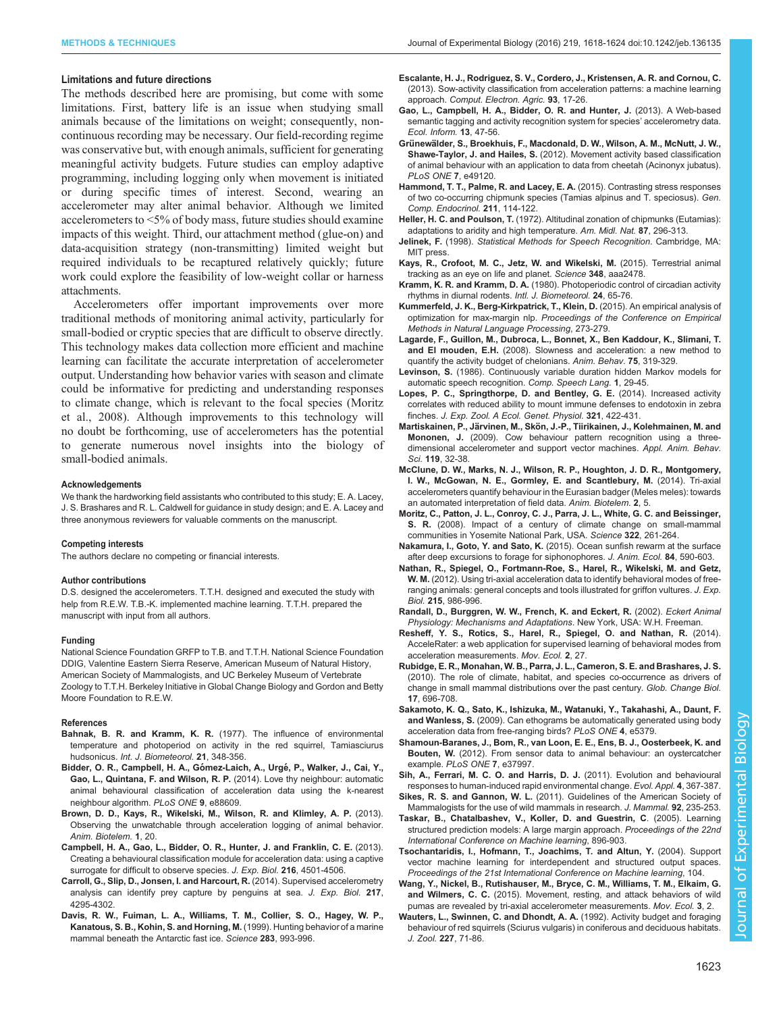#### <span id="page-5-0"></span>Limitations and future directions

The methods described here are promising, but come with some limitations. First, battery life is an issue when studying small animals because of the limitations on weight; consequently, noncontinuous recording may be necessary. Our field-recording regime was conservative but, with enough animals, sufficient for generating meaningful activity budgets. Future studies can employ adaptive programming, including logging only when movement is initiated or during specific times of interest. Second, wearing an accelerometer may alter animal behavior. Although we limited accelerometers to <5% of body mass, future studies should examine impacts of this weight. Third, our attachment method (glue-on) and data-acquisition strategy (non-transmitting) limited weight but required individuals to be recaptured relatively quickly; future work could explore the feasibility of low-weight collar or harness attachments.

Accelerometers offer important improvements over more traditional methods of monitoring animal activity, particularly for small-bodied or cryptic species that are difficult to observe directly. This technology makes data collection more efficient and machine learning can facilitate the accurate interpretation of accelerometer output. Understanding how behavior varies with season and climate could be informative for predicting and understanding responses to climate change, which is relevant to the focal species (Moritz et al., 2008). Although improvements to this technology will no doubt be forthcoming, use of accelerometers has the potential to generate numerous novel insights into the biology of small-bodied animals.

#### Acknowledgements

We thank the hardworking field assistants who contributed to this study; E. A. Lacey, J. S. Brashares and R. L. Caldwell for guidance in study design; and E. A. Lacey and three anonymous reviewers for valuable comments on the manuscript.

#### Competing interests

The authors declare no competing or financial interests.

#### Author contributions

D.S. designed the accelerometers. T.T.H. designed and executed the study with help from R.E.W. T.B.-K. implemented machine learning. T.T.H. prepared the manuscript with input from all authors.

#### Funding

National Science Foundation GRFP to T.B. and T.T.H. National Science Foundation DDIG, Valentine Eastern Sierra Reserve, American Museum of Natural History, American Society of Mammalogists, and UC Berkeley Museum of Vertebrate Zoology to T.T.H. Berkeley Initiative in Global Change Biology and Gordon and Betty Moore Foundation to R.E.W.

#### References

- Bahnak, B. R. and Kramm, K. R. [\(1977\). The influence of environmental](http://dx.doi.org/10.1007/BF01555196) [temperature and photoperiod on activity in the red squirrel, Tamiasciurus](http://dx.doi.org/10.1007/BF01555196) hudsonicus. [Int. J. Biometeorol.](http://dx.doi.org/10.1007/BF01555196) 21, 348-356.
- Bidder, O. R., Campbell, H. A., Gómez-Laich, A., Urgé, P., Walker, J., Cai, Y., [Gao, L., Quintana, F. and Wilson, R. P.](http://dx.doi.org/10.1371/journal.pone.0088609) (2014). Love thy neighbour: automatic [animal behavioural classification of acceleration data using the k-nearest](http://dx.doi.org/10.1371/journal.pone.0088609) [neighbour algorithm.](http://dx.doi.org/10.1371/journal.pone.0088609) PLoS ONE 9, e88609.
- [Brown, D. D., Kays, R., Wikelski, M., Wilson, R. and Klimley, A. P.](http://dx.doi.org/10.1186/2050-3385-1-20) (2013). [Observing the unwatchable through acceleration logging of animal behavior.](http://dx.doi.org/10.1186/2050-3385-1-20) [Anim. Biotelem.](http://dx.doi.org/10.1186/2050-3385-1-20) 1, 20.
- [Campbell, H. A., Gao, L., Bidder, O. R., Hunter, J. and Franklin, C. E.](http://dx.doi.org/10.1242/jeb.089805) (2013). [Creating a behavioural classification module for acceleration data: using a captive](http://dx.doi.org/10.1242/jeb.089805) [surrogate for difficult to observe species.](http://dx.doi.org/10.1242/jeb.089805) J. Exp. Biol. 216, 4501-4506
- [Carroll, G., Slip, D., Jonsen, I. and Harcourt, R.](http://dx.doi.org/10.1242/jeb.113076) (2014). Supervised accelerometry [analysis can identify prey capture by penguins at sea.](http://dx.doi.org/10.1242/jeb.113076) J. Exp. Biol. 217, [4295-4302.](http://dx.doi.org/10.1242/jeb.113076)
- [Davis, R. W., Fuiman, L. A., Williams, T. M., Collier, S. O., Hagey, W. P.,](http://dx.doi.org/10.1126/science.283.5404.993) [Kanatous, S. B., Kohin, S. and Horning, M.](http://dx.doi.org/10.1126/science.283.5404.993) (1999). Hunting behavior of a marine [mammal beneath the Antarctic fast ice.](http://dx.doi.org/10.1126/science.283.5404.993) Science 283, 993-996.
- [Escalante, H. J., Rodriguez, S. V., Cordero, J., Kristensen, A. R. and Cornou, C.](http://dx.doi.org/10.1016/j.compag.2013.01.003) [\(2013\). Sow-activity classification from acceleration patterns: a machine learning](http://dx.doi.org/10.1016/j.compag.2013.01.003) approach. [Comput. Electron. Agric.](http://dx.doi.org/10.1016/j.compag.2013.01.003) 93, 17-26.
- [Gao, L., Campbell, H. A., Bidder, O. R. and Hunter, J.](http://dx.doi.org/10.1016/j.ecoinf.2012.09.003) (2013). A Web-based [semantic tagging and activity recognition system for species](http://dx.doi.org/10.1016/j.ecoinf.2012.09.003)' accelerometry data. [Ecol. Inform.](http://dx.doi.org/10.1016/j.ecoinf.2012.09.003) 13, 47-56.
- Grünewä[lder, S., Broekhuis, F., Macdonald, D. W., Wilson, A. M., McNutt, J. W.,](http://dx.doi.org/10.1371/journal.pone.0049120) Shawe-Taylor, J. and Hailes, S. [\(2012\). Movement activity based classification](http://dx.doi.org/10.1371/journal.pone.0049120) [of animal behaviour with an application to data from cheetah \(Acinonyx jubatus\).](http://dx.doi.org/10.1371/journal.pone.0049120) [PLoS ONE](http://dx.doi.org/10.1371/journal.pone.0049120) 7, e49120.
- [Hammond, T. T., Palme, R. and Lacey, E. A.](http://dx.doi.org/10.1016/j.ygcen.2014.11.013) (2015). Contrasting stress responses [of two co-occurring chipmunk species \(Tamias alpinus and T. speciosus\).](http://dx.doi.org/10.1016/j.ygcen.2014.11.013) Gen. [Comp. Endocrinol.](http://dx.doi.org/10.1016/j.ygcen.2014.11.013) 211, 114-122.
- Heller, H. C. and Poulson, T. [\(1972\). Altitudinal zonation of chipmunks \(Eutamias\):](http://dx.doi.org/10.2307/2423563) [adaptations to aridity and high temperature.](http://dx.doi.org/10.2307/2423563) Am. Midl. Nat. 87, 296-313.
- Jelinek, F. (1998). Statistical Methods for Speech Recognition. Cambridge, MA: MIT press.
- [Kays, R., Crofoot, M. C., Jetz, W. and Wikelski, M.](http://dx.doi.org/10.1126/science.aaa2478) (2015). Terrestrial animal [tracking as an eye on life and planet.](http://dx.doi.org/10.1126/science.aaa2478) Science 348, aaa2478.
- Kramm, K. R. and Kramm, D. A. [\(1980\). Photoperiodic control of circadian activity](http://dx.doi.org/10.1007/BF02245543) [rhythms in diurnal rodents.](http://dx.doi.org/10.1007/BF02245543) Intl. J. Biometeorol. 24, 65-76.
- Kummerfeld, J. K., Berg-Kirkpatrick, T., Klein, D. (2015). An empirical analysis of optimization for max-margin nlp. Proceedings of the Conference on Empirical Methods in Natural Language Processing, 273-279.
- [Lagarde, F., Guillon, M., Dubroca, L., Bonnet, X., Ben Kaddour, K., Slimani, T.](http://dx.doi.org/10.1016/j.anbehav.2007.01.010) and El mouden, E.H. [\(2008\). Slowness and acceleration: a new method to](http://dx.doi.org/10.1016/j.anbehav.2007.01.010) [quantify the activity budget of chelonians.](http://dx.doi.org/10.1016/j.anbehav.2007.01.010) Anim. Behav. 75, 319-329.
- Levinson, S. [\(1986\). Continuously variable duration hidden Markov models for](http://dx.doi.org/10.1016/S0885-2308(86)80009-2) [automatic speech recognition.](http://dx.doi.org/10.1016/S0885-2308(86)80009-2) Comp. Speech Lang. 1, 29-45.
- [Lopes, P. C., Springthorpe, D. and Bentley, G. E.](http://dx.doi.org/10.1002/jez.1873) (2014). Increased activity [correlates with reduced ability to mount immune defenses to endotoxin in zebra](http://dx.doi.org/10.1002/jez.1873) finches. [J. Exp. Zool. A Ecol. Genet. Physiol.](http://dx.doi.org/10.1002/jez.1873) 321, 422-431.
- Martiskainen, P., Järvinen, M., Skö[n, J.-P., Tiirikainen, J., Kolehmainen, M. and](http://dx.doi.org/10.1016/j.applanim.2009.03.005) Mononen, J. [\(2009\). Cow behaviour pattern recognition using a three](http://dx.doi.org/10.1016/j.applanim.2009.03.005)[dimensional accelerometer and support vector machines.](http://dx.doi.org/10.1016/j.applanim.2009.03.005) Appl. Anim. Behav. Sci. 119[, 32-38.](http://dx.doi.org/10.1016/j.applanim.2009.03.005)
- [McClune, D. W., Marks, N. J., Wilson, R. P., Houghton, J. D. R., Montgomery,](http://dx.doi.org/10.1186/2050-3385-2-5) [I. W., McGowan, N. E., Gormley, E. and Scantlebury, M.](http://dx.doi.org/10.1186/2050-3385-2-5) (2014). Tri-axial [accelerometers quantify behaviour in the Eurasian badger \(Meles meles\): towards](http://dx.doi.org/10.1186/2050-3385-2-5) [an automated interpretation of field data.](http://dx.doi.org/10.1186/2050-3385-2-5) Anim. Biotelem. 2, 5.
- [Moritz, C., Patton, J. L., Conroy, C. J., Parra, J. L., White, G. C. and Beissinger,](http://dx.doi.org/10.1126/science.1163428) S. R. [\(2008\). Impact of a century of climate change on small-mammal](http://dx.doi.org/10.1126/science.1163428) [communities in Yosemite National Park, USA.](http://dx.doi.org/10.1126/science.1163428) Science 322, 261-264.
- Nakamura, I., Goto, Y. and Sato, K. [\(2015\). Ocean sunfish rewarm at the surface](http://dx.doi.org/10.1111/1365-2656.12346) [after deep excursions to forage for siphonophores.](http://dx.doi.org/10.1111/1365-2656.12346) J. Anim. Ecol. 84, 590-603.
- [Nathan, R., Spiegel, O., Fortmann-Roe, S., Harel, R., Wikelski, M. and Getz,](http://dx.doi.org/10.1242/jeb.058602) W. M. [\(2012\). Using tri-axial acceleration data to identify behavioral modes of free](http://dx.doi.org/10.1242/jeb.058602)[ranging animals: general concepts and tools illustrated for griffon vultures.](http://dx.doi.org/10.1242/jeb.058602) J. Exp. Biol. 215[, 986-996.](http://dx.doi.org/10.1242/jeb.058602)
- Randall, D., Burggren, W. W., French, K. and Eckert, R. (2002). Eckert Animal Physiology: Mechanisms and Adaptations. New York, USA: W.H. Freeman.
- [Resheff, Y. S., Rotics, S., Harel, R., Spiegel, O. and Nathan, R.](http://dx.doi.org/10.1186/s40462-014-0027-0) (2014). [AcceleRater: a web application for supervised learning of behavioral modes from](http://dx.doi.org/10.1186/s40462-014-0027-0) [acceleration measurements.](http://dx.doi.org/10.1186/s40462-014-0027-0) Mov. Ecol. 2, 27.
- [Rubidge, E. R., Monahan, W. B., Parra, J. L., Cameron, S. E. and Brashares, J. S.](http://dx.doi.org/10.1111/j.1365-2486.2010.02297.x) [\(2010\). The role of climate, habitat, and species co-occurrence as drivers of](http://dx.doi.org/10.1111/j.1365-2486.2010.02297.x) [change in small mammal distributions over the past century.](http://dx.doi.org/10.1111/j.1365-2486.2010.02297.x) Glob. Change Biol. 17[, 696-708.](http://dx.doi.org/10.1111/j.1365-2486.2010.02297.x)
- [Sakamoto, K. Q., Sato, K., Ishizuka, M., Watanuki, Y., Takahashi, A., Daunt, F.](http://dx.doi.org/10.1371/journal.pone.0005379) and Wanless, S. [\(2009\). Can ethograms be automatically generated using body](http://dx.doi.org/10.1371/journal.pone.0005379) [acceleration data from free-ranging birds?](http://dx.doi.org/10.1371/journal.pone.0005379) PLoS ONE 4, e5379.
- [Shamoun-Baranes, J., Bom, R., van Loon, E. E., Ens, B. J., Oosterbeek, K. and](http://dx.doi.org/10.1371/journal.pone.0037997) Bouten, W. [\(2012\). From sensor data to animal behaviour: an oystercatcher](http://dx.doi.org/10.1371/journal.pone.0037997) example. [PLoS ONE](http://dx.doi.org/10.1371/journal.pone.0037997) 7, e37997.
- [Sih, A., Ferrari, M. C. O. and Harris, D. J.](http://dx.doi.org/10.1111/j.1752-4571.2010.00166.x) (2011). Evolution and behavioural [responses to human-induced rapid environmental change.](http://dx.doi.org/10.1111/j.1752-4571.2010.00166.x) Evol. Appl. 4, 367-387.
- Sikes, R. S. and Gannon, W. L. [\(2011\). Guidelines of the American Society of](http://dx.doi.org/10.1644/10-MAMM-F-355.1) [Mammalogists for the use of wild mammals in research.](http://dx.doi.org/10.1644/10-MAMM-F-355.1) J. Mammal. **92**, 235-253.
- Taskar, B., Chatalbashev, V., Koller, D. and Guestrin, C. (2005). Learning structured prediction models: A large margin approach. Proceedings of the 22nd International Conference on Machine learning, 896-903.
- Tsochantaridis, I., Hofmann, T., Joachims, T. and Altun, Y. (2004). Support vector machine learning for interdependent and structured output spaces. Proceedings of the 21st International Conference on Machine learning, 104.
- [Wang, Y., Nickel, B., Rutishauser, M., Bryce, C. M., Williams, T. M., Elkaim, G.](http://dx.doi.org/10.1186/s40462-015-0030-0) and Wilmers, C. C. [\(2015\). Movement, resting, and attack behaviors of wild](http://dx.doi.org/10.1186/s40462-015-0030-0) [pumas are revealed by tri-axial accelerometer measurements.](http://dx.doi.org/10.1186/s40462-015-0030-0) Mov. Ecol. 3, 2.
- [Wauters, L., Swinnen, C. and Dhondt, A. A.](http://dx.doi.org/10.1111/j.1469-7998.1992.tb04345.x) (1992). Activity budget and foraging [behaviour of red squirrels \(Sciurus vulgaris\) in coniferous and deciduous habitats.](http://dx.doi.org/10.1111/j.1469-7998.1992.tb04345.x) J. Zool. 227[, 71-86.](http://dx.doi.org/10.1111/j.1469-7998.1992.tb04345.x)